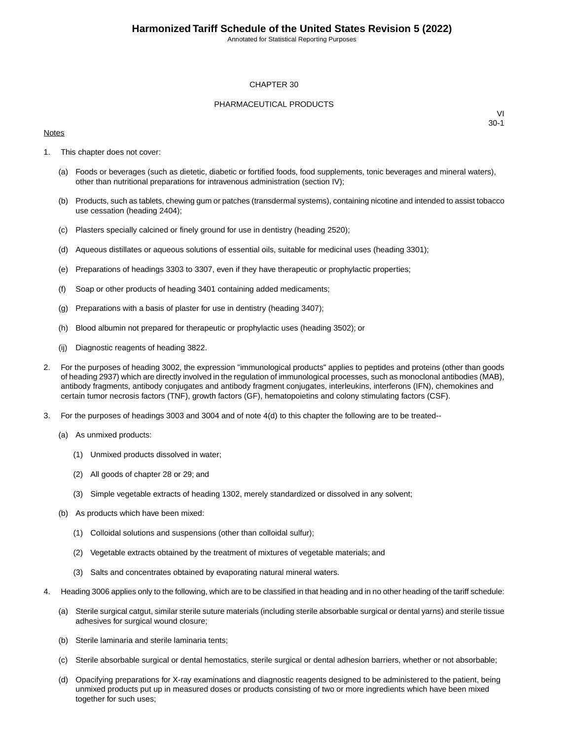Annotated for Statistical Reporting Purposes

#### CHAPTER 30

#### PHARMACEUTICAL PRODUCTS

#### **Notes**

- 1. This chapter does not cover:
	- (a) Foods or beverages (such as dietetic, diabetic or fortified foods, food supplements, tonic beverages and mineral waters), other than nutritional preparations for intravenous administration (section IV);
	- (b) Products, such as tablets, chewing gum or patches (transdermal systems), containing nicotine and intended to assist tobacco use cessation (heading 2404);
	- (c) Plasters specially calcined or finely ground for use in dentistry (heading 2520);
	- (d) Aqueous distillates or aqueous solutions of essential oils, suitable for medicinal uses (heading 3301);
	- (e) Preparations of headings 3303 to 3307, even if they have therapeutic or prophylactic properties;
	- (f) Soap or other products of heading 3401 containing added medicaments;
	- (g) Preparations with a basis of plaster for use in dentistry (heading 3407);
	- (h) Blood albumin not prepared for therapeutic or prophylactic uses (heading 3502); or
	- (ij) Diagnostic reagents of heading 3822.
- 2. For the purposes of heading 3002, the expression "immunological products" applies to peptides and proteins (other than goods of heading 2937) which are directly involved in the regulation of immunological processes, such as monoclonal antibodies (MAB), antibody fragments, antibody conjugates and antibody fragment conjugates, interleukins, interferons (IFN), chemokines and certain tumor necrosis factors (TNF), growth factors (GF), hematopoietins and colony stimulating factors (CSF).
- 3. For the purposes of headings 3003 and 3004 and of note 4(d) to this chapter the following are to be treated--
	- (a) As unmixed products:
		- (1) Unmixed products dissolved in water;
		- (2) All goods of chapter 28 or 29; and
		- (3) Simple vegetable extracts of heading 1302, merely standardized or dissolved in any solvent;
	- (b) As products which have been mixed:
		- (1) Colloidal solutions and suspensions (other than colloidal sulfur);
		- (2) Vegetable extracts obtained by the treatment of mixtures of vegetable materials; and
		- (3) Salts and concentrates obtained by evaporating natural mineral waters.
- 4. Heading 3006 applies only to the following, which are to be classified in that heading and in no other heading of the tariff schedule:
	- (a) Sterile surgical catgut, similar sterile suture materials (including sterile absorbable surgical or dental yarns) and sterile tissue adhesives for surgical wound closure;
	- (b) Sterile laminaria and sterile laminaria tents;
	- (c) Sterile absorbable surgical or dental hemostatics, sterile surgical or dental adhesion barriers, whether or not absorbable;
	- (d) Opacifying preparations for X-ray examinations and diagnostic reagents designed to be administered to the patient, being unmixed products put up in measured doses or products consisting of two or more ingredients which have been mixed together for such uses;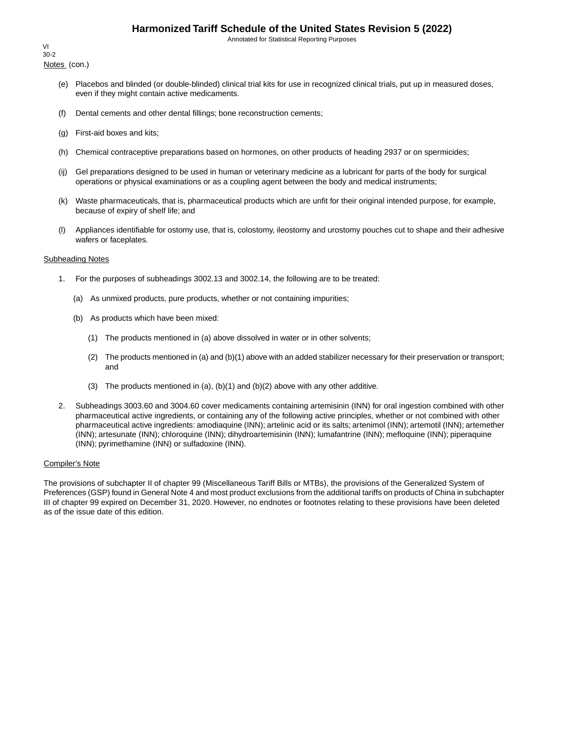Annotated for Statistical Reporting Purposes

Notes (con.) VI 30-2

- (e) Placebos and blinded (or double-blinded) clinical trial kits for use in recognized clinical trials, put up in measured doses, even if they might contain active medicaments.
- (f) Dental cements and other dental fillings; bone reconstruction cements;
- (g) First-aid boxes and kits;
- (h) Chemical contraceptive preparations based on hormones, on other products of heading 2937 or on spermicides;
- (ij) Gel preparations designed to be used in human or veterinary medicine as a lubricant for parts of the body for surgical operations or physical examinations or as a coupling agent between the body and medical instruments;
- (k) Waste pharmaceuticals, that is, pharmaceutical products which are unfit for their original intended purpose, for example, because of expiry of shelf life; and
- (l) Appliances identifiable for ostomy use, that is, colostomy, ileostomy and urostomy pouches cut to shape and their adhesive wafers or faceplates.

#### Subheading Notes

- 1. For the purposes of subheadings 3002.13 and 3002.14, the following are to be treated:
	- (a) As unmixed products, pure products, whether or not containing impurities;
	- (b) As products which have been mixed:
		- (1) The products mentioned in (a) above dissolved in water or in other solvents;
		- (2) The products mentioned in (a) and (b)(1) above with an added stabilizer necessary for their preservation or transport; and
		- (3) The products mentioned in  $(a)$ ,  $(b)(1)$  and  $(b)(2)$  above with any other additive.
- 2. Subheadings 3003.60 and 3004.60 cover medicaments containing artemisinin (INN) for oral ingestion combined with other pharmaceutical active ingredients, or containing any of the following active principles, whether or not combined with other pharmaceutical active ingredients: amodiaquine (INN); artelinic acid or its salts; artenimol (INN); artemotil (INN); artemether (INN); artesunate (INN); chloroquine (INN); dihydroartemisinin (INN); lumafantrine (INN); mefloquine (INN); piperaquine (INN); pyrimethamine (INN) or sulfadoxine (INN).

#### Compiler's Note

The provisions of subchapter II of chapter 99 (Miscellaneous Tariff Bills or MTBs), the provisions of the Generalized System of Preferences (GSP) found in General Note 4 and most product exclusions from the additional tariffs on products of China in subchapter III of chapter 99 expired on December 31, 2020. However, no endnotes or footnotes relating to these provisions have been deleted as of the issue date of this edition.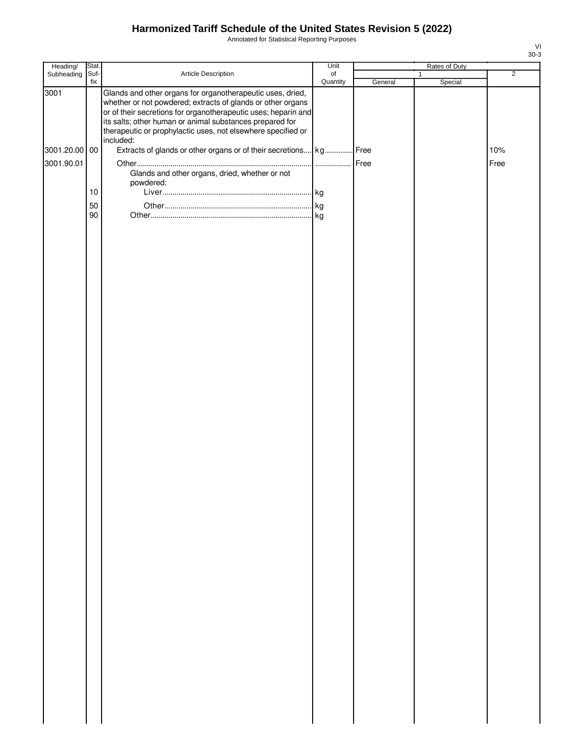Annotated for Statistical Reporting Purposes

| Heading/      | Stat.       |                                                                                                                                                                                                                                                                                                                                      | Unit           |         | Rates of Duty |                |
|---------------|-------------|--------------------------------------------------------------------------------------------------------------------------------------------------------------------------------------------------------------------------------------------------------------------------------------------------------------------------------------|----------------|---------|---------------|----------------|
| Subheading    | Suf-<br>fix | Article Description                                                                                                                                                                                                                                                                                                                  | of<br>Quantity |         | $\mathbf{1}$  | $\overline{2}$ |
| 3001          |             | Glands and other organs for organotherapeutic uses, dried,<br>whether or not powdered; extracts of glands or other organs<br>or of their secretions for organotherapeutic uses; heparin and<br>its salts; other human or animal substances prepared for<br>therapeutic or prophylactic uses, not elsewhere specified or<br>included: |                | General | Special       |                |
| 3001.20.00 00 |             | Extracts of glands or other organs or of their secretions kg Free                                                                                                                                                                                                                                                                    |                |         |               | 10%            |
| 3001.90.01    |             |                                                                                                                                                                                                                                                                                                                                      |                | Free    |               | Free           |
|               |             | Glands and other organs, dried, whether or not<br>powdered:                                                                                                                                                                                                                                                                          |                |         |               |                |
|               | 10          |                                                                                                                                                                                                                                                                                                                                      |                |         |               |                |
|               | 50          |                                                                                                                                                                                                                                                                                                                                      |                |         |               |                |
|               | 90          |                                                                                                                                                                                                                                                                                                                                      |                |         |               |                |
|               |             |                                                                                                                                                                                                                                                                                                                                      |                |         |               |                |
|               |             |                                                                                                                                                                                                                                                                                                                                      |                |         |               |                |
|               |             |                                                                                                                                                                                                                                                                                                                                      |                |         |               |                |
|               |             |                                                                                                                                                                                                                                                                                                                                      |                |         |               |                |
|               |             |                                                                                                                                                                                                                                                                                                                                      |                |         |               |                |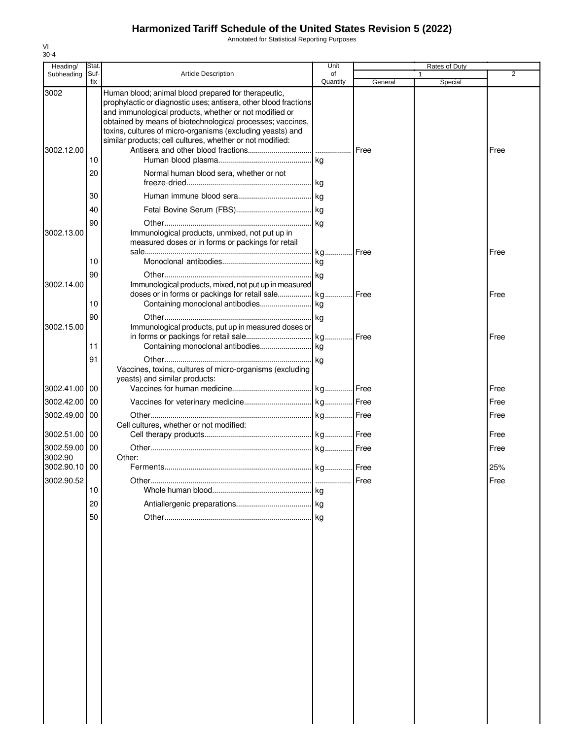Annotated for Statistical Reporting Purposes

| Heading/                    | Stat.       |                                                                                                                                                                                                                                                                                                                                                                            | Unit           |         |   | Rates of Duty |              |
|-----------------------------|-------------|----------------------------------------------------------------------------------------------------------------------------------------------------------------------------------------------------------------------------------------------------------------------------------------------------------------------------------------------------------------------------|----------------|---------|---|---------------|--------------|
| Subheading                  | Suf-<br>fix | <b>Article Description</b>                                                                                                                                                                                                                                                                                                                                                 | of<br>Quantity | General | 1 | Special       | 2            |
| 3002                        |             | Human blood; animal blood prepared for therapeutic,<br>prophylactic or diagnostic uses; antisera, other blood fractions<br>and immunological products, whether or not modified or<br>obtained by means of biotechnological processes; vaccines,<br>toxins, cultures of micro-organisms (excluding yeasts) and<br>similar products; cell cultures, whether or not modified: |                |         |   |               |              |
| 3002.12.00                  | 10<br>20    | Normal human blood sera, whether or not                                                                                                                                                                                                                                                                                                                                    |                | Free    |   |               | Free         |
|                             | 30          |                                                                                                                                                                                                                                                                                                                                                                            |                |         |   |               |              |
|                             | 40          |                                                                                                                                                                                                                                                                                                                                                                            |                |         |   |               |              |
| 3002.13.00                  | 90          | Immunological products, unmixed, not put up in<br>measured doses or in forms or packings for retail                                                                                                                                                                                                                                                                        |                |         |   |               | Free         |
|                             | 10          |                                                                                                                                                                                                                                                                                                                                                                            |                |         |   |               |              |
| 3002.14.00                  | 90          | Immunological products, mixed, not put up in measured                                                                                                                                                                                                                                                                                                                      |                |         |   |               |              |
|                             | 10          |                                                                                                                                                                                                                                                                                                                                                                            |                |         |   |               | Free         |
| 3002.15.00                  | 90          | Immunological products, put up in measured doses or                                                                                                                                                                                                                                                                                                                        | kg             |         |   |               | Free         |
|                             | 11<br>91    |                                                                                                                                                                                                                                                                                                                                                                            |                |         |   |               |              |
| 3002.41.00                  | 00          | Vaccines, toxins, cultures of micro-organisms (excluding<br>yeasts) and similar products:                                                                                                                                                                                                                                                                                  |                |         |   |               | Free         |
| 3002.42.00                  | 00          |                                                                                                                                                                                                                                                                                                                                                                            |                |         |   |               | Free         |
| 3002.49.00                  | 00          | Cell cultures, whether or not modified:                                                                                                                                                                                                                                                                                                                                    |                |         |   |               | Free         |
| 3002.51.00 00<br>3002.59.00 | 00          |                                                                                                                                                                                                                                                                                                                                                                            |                |         |   |               | Free<br>Free |
| 3002.90                     |             | Other:                                                                                                                                                                                                                                                                                                                                                                     |                |         |   |               |              |
| 3002.90.10 00               |             |                                                                                                                                                                                                                                                                                                                                                                            |                |         |   |               | 25%          |
| 3002.90.52                  | 10          |                                                                                                                                                                                                                                                                                                                                                                            |                | Free    |   |               | Free         |
|                             | 20          |                                                                                                                                                                                                                                                                                                                                                                            |                |         |   |               |              |
|                             | 50          |                                                                                                                                                                                                                                                                                                                                                                            |                |         |   |               |              |
|                             |             |                                                                                                                                                                                                                                                                                                                                                                            |                |         |   |               |              |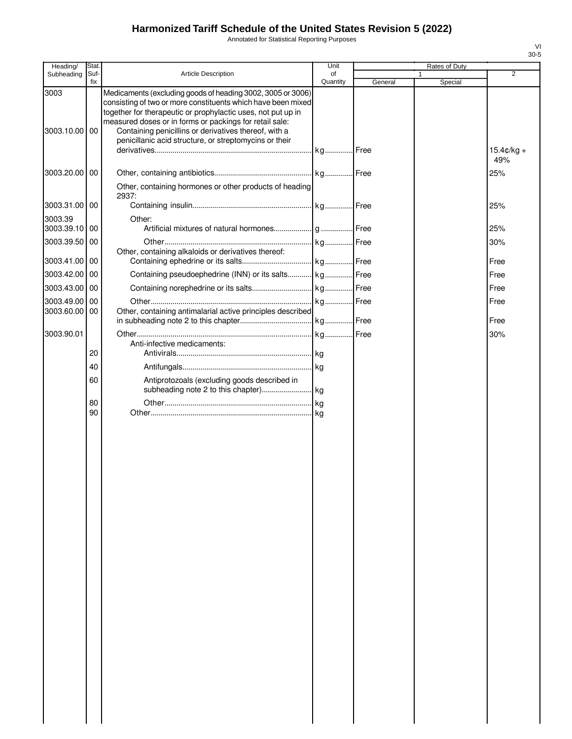Annotated for Statistical Reporting Purposes

| Heading/                 | Stat.           |                                                                                                                                                                                                                                                        | Unit           |         | Rates of Duty |                             |
|--------------------------|-----------------|--------------------------------------------------------------------------------------------------------------------------------------------------------------------------------------------------------------------------------------------------------|----------------|---------|---------------|-----------------------------|
| Subheading               | Suf-<br>fix     | <b>Article Description</b>                                                                                                                                                                                                                             | of<br>Quantity |         |               | 2                           |
| 3003                     |                 | Medicaments (excluding goods of heading 3002, 3005 or 3006)<br>consisting of two or more constituents which have been mixed<br>together for therapeutic or prophylactic uses, not put up in<br>measured doses or in forms or packings for retail sale: |                | General | Special       |                             |
| 3003.10.00 00            |                 | Containing penicillins or derivatives thereof, with a<br>penicillanic acid structure, or streptomycins or their                                                                                                                                        |                |         |               | $15.4 \text{c/kg} +$<br>49% |
| 3003.20.00 00            |                 | Other, containing hormones or other products of heading                                                                                                                                                                                                |                |         |               | 25%                         |
| 3003.31.00 00            |                 | 2937:                                                                                                                                                                                                                                                  |                |         |               | 25%                         |
| 3003.39<br>3003.39.10 00 |                 | Other:                                                                                                                                                                                                                                                 |                |         |               | 25%                         |
| 3003.39.50 00            |                 |                                                                                                                                                                                                                                                        |                |         |               | 30%                         |
| 3003.41.00 00            |                 | Other, containing alkaloids or derivatives thereof:                                                                                                                                                                                                    |                |         |               | Free                        |
| 3003.42.00               | <b>100</b>      | Containing pseudoephedrine (INN) or its salts kg Free                                                                                                                                                                                                  |                |         |               | Free                        |
| 3003.43.00 00            |                 |                                                                                                                                                                                                                                                        |                |         |               | Free                        |
| 3003.49.00               | $\overline{00}$ |                                                                                                                                                                                                                                                        |                |         |               | Free                        |
| 3003.60.00 00            |                 | Other, containing antimalarial active principles described                                                                                                                                                                                             |                |         |               | Free                        |
| 3003.90.01               |                 | Anti-infective medicaments:                                                                                                                                                                                                                            |                |         |               | 30%                         |
|                          | 20              |                                                                                                                                                                                                                                                        |                |         |               |                             |
|                          | 40              |                                                                                                                                                                                                                                                        |                |         |               |                             |
|                          | 60              | Antiprotozoals (excluding goods described in                                                                                                                                                                                                           |                |         |               |                             |
|                          | 80<br>90        |                                                                                                                                                                                                                                                        |                |         |               |                             |
|                          |                 |                                                                                                                                                                                                                                                        |                |         |               |                             |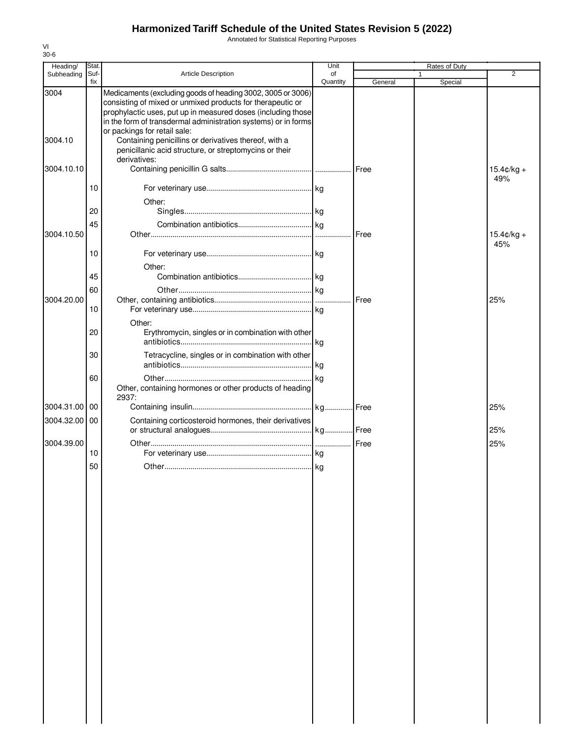Annotated for Statistical Reporting Purposes

| Heading/        | Stat.       |                                                                                                                                                                                                                                                                                                                                                                                                                | Unit           |         | Rates of Duty |                      |
|-----------------|-------------|----------------------------------------------------------------------------------------------------------------------------------------------------------------------------------------------------------------------------------------------------------------------------------------------------------------------------------------------------------------------------------------------------------------|----------------|---------|---------------|----------------------|
| Subheading      | Suf-<br>fix | <b>Article Description</b>                                                                                                                                                                                                                                                                                                                                                                                     | of<br>Quantity | General | 1<br>Special  | 2                    |
| 3004<br>3004.10 |             | Medicaments (excluding goods of heading 3002, 3005 or 3006)<br>consisting of mixed or unmixed products for therapeutic or<br>prophylactic uses, put up in measured doses (including those<br>in the form of transdermal administration systems) or in forms<br>or packings for retail sale:<br>Containing penicillins or derivatives thereof, with a<br>penicillanic acid structure, or streptomycins or their |                |         |               |                      |
| 3004.10.10      |             | derivatives:                                                                                                                                                                                                                                                                                                                                                                                                   |                | Free    |               | $15.4 \text{c/kg} +$ |
|                 | 10          |                                                                                                                                                                                                                                                                                                                                                                                                                |                |         |               | 49%                  |
|                 | 20          | Other:                                                                                                                                                                                                                                                                                                                                                                                                         |                |         |               |                      |
| 3004.10.50      | 45          |                                                                                                                                                                                                                                                                                                                                                                                                                |                | Free    |               | $15.4 \text{c/kg} +$ |
|                 | 10          |                                                                                                                                                                                                                                                                                                                                                                                                                |                |         |               | 45%                  |
|                 | 45          | Other:                                                                                                                                                                                                                                                                                                                                                                                                         |                |         |               |                      |
| 3004.20.00      | 60          |                                                                                                                                                                                                                                                                                                                                                                                                                |                | Free    |               | 25%                  |
|                 | 10          |                                                                                                                                                                                                                                                                                                                                                                                                                |                |         |               |                      |
|                 | 20          | Other:<br>Erythromycin, singles or in combination with other                                                                                                                                                                                                                                                                                                                                                   | . kg           |         |               |                      |
|                 | 30          | Tetracycline, singles or in combination with other                                                                                                                                                                                                                                                                                                                                                             | kg             |         |               |                      |
|                 | 60          | Other, containing hormones or other products of heading<br>2937:                                                                                                                                                                                                                                                                                                                                               |                |         |               |                      |
| 3004.31.00      | 00          |                                                                                                                                                                                                                                                                                                                                                                                                                | . kg           | Free    |               | 25%                  |
| 3004.32.00      | 00          | Containing corticosteroid hormones, their derivatives                                                                                                                                                                                                                                                                                                                                                          |                |         |               | 25%                  |
| 3004.39.00      |             |                                                                                                                                                                                                                                                                                                                                                                                                                |                | Free    |               | 25%                  |
|                 | 10<br>50    |                                                                                                                                                                                                                                                                                                                                                                                                                |                |         |               |                      |
|                 |             |                                                                                                                                                                                                                                                                                                                                                                                                                |                |         |               |                      |
|                 |             |                                                                                                                                                                                                                                                                                                                                                                                                                |                |         |               |                      |
|                 |             |                                                                                                                                                                                                                                                                                                                                                                                                                |                |         |               |                      |
|                 |             |                                                                                                                                                                                                                                                                                                                                                                                                                |                |         |               |                      |
|                 |             |                                                                                                                                                                                                                                                                                                                                                                                                                |                |         |               |                      |
|                 |             |                                                                                                                                                                                                                                                                                                                                                                                                                |                |         |               |                      |
|                 |             |                                                                                                                                                                                                                                                                                                                                                                                                                |                |         |               |                      |
|                 |             |                                                                                                                                                                                                                                                                                                                                                                                                                |                |         |               |                      |
|                 |             |                                                                                                                                                                                                                                                                                                                                                                                                                |                |         |               |                      |
|                 |             |                                                                                                                                                                                                                                                                                                                                                                                                                |                |         |               |                      |
|                 |             |                                                                                                                                                                                                                                                                                                                                                                                                                |                |         |               |                      |
|                 |             |                                                                                                                                                                                                                                                                                                                                                                                                                |                |         |               |                      |
|                 |             |                                                                                                                                                                                                                                                                                                                                                                                                                |                |         |               |                      |
|                 |             |                                                                                                                                                                                                                                                                                                                                                                                                                |                |         |               |                      |
|                 |             |                                                                                                                                                                                                                                                                                                                                                                                                                |                |         |               |                      |
|                 |             |                                                                                                                                                                                                                                                                                                                                                                                                                |                |         |               |                      |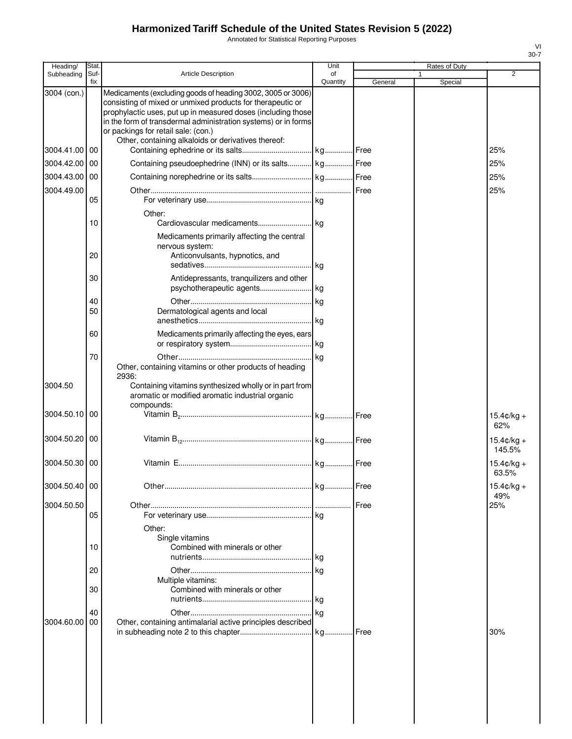Annotated for Statistical Reporting Purposes

| Heading/      | Stat        |                                                                                                                                                                                                                                                                                                                                                           | Unit           |         | Rates of Duty |                                |
|---------------|-------------|-----------------------------------------------------------------------------------------------------------------------------------------------------------------------------------------------------------------------------------------------------------------------------------------------------------------------------------------------------------|----------------|---------|---------------|--------------------------------|
| Subheading    | Suf-<br>fix | <b>Article Description</b>                                                                                                                                                                                                                                                                                                                                | of<br>Quantity | General | 1<br>Special  | 2                              |
| 3004 (con.)   |             | Medicaments (excluding goods of heading 3002, 3005 or 3006)<br>consisting of mixed or unmixed products for therapeutic or<br>prophylactic uses, put up in measured doses (including those<br>in the form of transdermal administration systems) or in forms<br>or packings for retail sale: (con.)<br>Other, containing alkaloids or derivatives thereof: |                |         |               |                                |
| 3004.41.00    | 00          |                                                                                                                                                                                                                                                                                                                                                           |                |         |               | 25%                            |
| 3004.42.00    | 00          | Containing pseudoephedrine (INN) or its salts   kg   Free                                                                                                                                                                                                                                                                                                 |                |         |               | 25%                            |
| 3004.43.00    | 00          |                                                                                                                                                                                                                                                                                                                                                           |                |         |               | 25%                            |
| 3004.49.00    |             |                                                                                                                                                                                                                                                                                                                                                           |                |         |               | 25%                            |
|               | 05          |                                                                                                                                                                                                                                                                                                                                                           |                |         |               |                                |
|               | 10          | Other:                                                                                                                                                                                                                                                                                                                                                    |                |         |               |                                |
|               | 20          | Medicaments primarily affecting the central<br>nervous system:<br>Anticonvulsants, hypnotics, and                                                                                                                                                                                                                                                         |                |         |               |                                |
|               | 30          | Antidepressants, tranquilizers and other                                                                                                                                                                                                                                                                                                                  |                |         |               |                                |
|               |             |                                                                                                                                                                                                                                                                                                                                                           |                |         |               |                                |
|               | 40<br>50    | Dermatological agents and local                                                                                                                                                                                                                                                                                                                           |                |         |               |                                |
|               |             |                                                                                                                                                                                                                                                                                                                                                           |                |         |               |                                |
|               | 60          | Medicaments primarily affecting the eyes, ears                                                                                                                                                                                                                                                                                                            |                |         |               |                                |
|               | 70          | Other, containing vitamins or other products of heading                                                                                                                                                                                                                                                                                                   |                |         |               |                                |
| 3004.50       |             | 2936:<br>Containing vitamins synthesized wholly or in part from<br>aromatic or modified aromatic industrial organic<br>compounds:                                                                                                                                                                                                                         |                |         |               |                                |
| 3004.50.10    | 00          |                                                                                                                                                                                                                                                                                                                                                           |                |         |               | $15.4 \text{C/kg} +$<br>62%    |
| 3004.50.20 00 |             |                                                                                                                                                                                                                                                                                                                                                           |                |         |               | $15.4 \text{c/kg} +$<br>145.5% |
| 3004.50.30    | 00          |                                                                                                                                                                                                                                                                                                                                                           |                |         |               | $15.4 \text{c/kg} +$<br>63.5%  |
| 3004.50.40 00 |             |                                                                                                                                                                                                                                                                                                                                                           |                | Free    |               | $15.4 \text{c/kg} +$<br>49%    |
| 3004.50.50    |             |                                                                                                                                                                                                                                                                                                                                                           |                | Free    |               | 25%                            |
|               | 05          |                                                                                                                                                                                                                                                                                                                                                           |                |         |               |                                |
|               | 10          | Other:<br>Single vitamins<br>Combined with minerals or other                                                                                                                                                                                                                                                                                              |                |         |               |                                |
|               | 20          |                                                                                                                                                                                                                                                                                                                                                           |                |         |               |                                |
|               | 30          | Multiple vitamins:<br>Combined with minerals or other                                                                                                                                                                                                                                                                                                     |                |         |               |                                |
|               | 40          |                                                                                                                                                                                                                                                                                                                                                           |                |         |               |                                |
| 3004.60.00    | 00          | Other, containing antimalarial active principles described                                                                                                                                                                                                                                                                                                |                |         |               |                                |
|               |             |                                                                                                                                                                                                                                                                                                                                                           |                | Free    |               | 30%                            |
|               |             |                                                                                                                                                                                                                                                                                                                                                           |                |         |               |                                |
|               |             |                                                                                                                                                                                                                                                                                                                                                           |                |         |               |                                |
|               |             |                                                                                                                                                                                                                                                                                                                                                           |                |         |               |                                |
|               |             |                                                                                                                                                                                                                                                                                                                                                           |                |         |               |                                |
|               |             |                                                                                                                                                                                                                                                                                                                                                           |                |         |               |                                |
|               |             |                                                                                                                                                                                                                                                                                                                                                           |                |         |               |                                |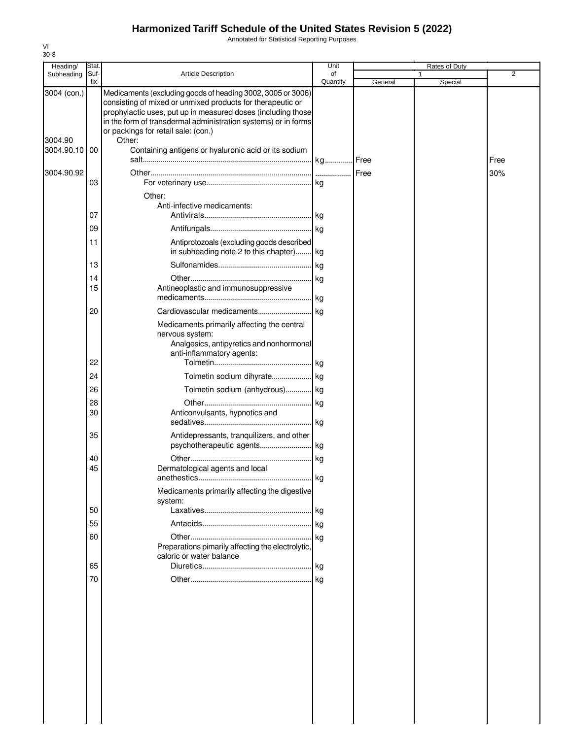Annotated for Statistical Reporting Purposes

| fix<br>Quantity<br>General<br>Special<br>3004 (con.)<br>Medicaments (excluding goods of heading 3002, 3005 or 3006)<br>consisting of mixed or unmixed products for therapeutic or<br>prophylactic uses, put up in measured doses (including those<br>in the form of transdermal administration systems) or in forms<br>or packings for retail sale: (con.)<br>3004.90<br>Other:<br>3004.90.10 00<br>Containing antigens or hyaluronic acid or its sodium<br>Free<br>3004.90.92<br>30%<br>03<br>Other:<br>Anti-infective medicaments:<br>07<br>09<br>Antiprotozoals (excluding goods described<br>11<br>in subheading note 2 to this chapter) kg<br>13<br>14<br>15<br>Antineoplastic and immunosuppressive<br>20<br>Medicaments primarily affecting the central<br>nervous system:<br>Analgesics, antipyretics and nonhormonal<br>anti-inflammatory agents:<br>22<br>24<br>26<br>Tolmetin sodium (anhydrous) kg<br>28<br>30<br>Anticonvulsants, hypnotics and<br>35<br>Antidepressants, tranquilizers, and other<br>40<br>45<br>Dermatological agents and local<br>Medicaments primarily affecting the digestive<br>system:<br>50<br>55<br>60<br>Preparations pimarily affecting the electrolytic,<br>caloric or water balance<br>65<br>70 | Heading/   | Stat |                            | Unit | <b>Rates of Duty</b> |                |
|-------------------------------------------------------------------------------------------------------------------------------------------------------------------------------------------------------------------------------------------------------------------------------------------------------------------------------------------------------------------------------------------------------------------------------------------------------------------------------------------------------------------------------------------------------------------------------------------------------------------------------------------------------------------------------------------------------------------------------------------------------------------------------------------------------------------------------------------------------------------------------------------------------------------------------------------------------------------------------------------------------------------------------------------------------------------------------------------------------------------------------------------------------------------------------------------------------------------------------------------|------------|------|----------------------------|------|----------------------|----------------|
|                                                                                                                                                                                                                                                                                                                                                                                                                                                                                                                                                                                                                                                                                                                                                                                                                                                                                                                                                                                                                                                                                                                                                                                                                                           | Subheading | Suf- | <b>Article Description</b> | of   |                      | $\overline{2}$ |
|                                                                                                                                                                                                                                                                                                                                                                                                                                                                                                                                                                                                                                                                                                                                                                                                                                                                                                                                                                                                                                                                                                                                                                                                                                           |            |      |                            |      |                      |                |
|                                                                                                                                                                                                                                                                                                                                                                                                                                                                                                                                                                                                                                                                                                                                                                                                                                                                                                                                                                                                                                                                                                                                                                                                                                           |            |      |                            |      |                      |                |
|                                                                                                                                                                                                                                                                                                                                                                                                                                                                                                                                                                                                                                                                                                                                                                                                                                                                                                                                                                                                                                                                                                                                                                                                                                           |            |      |                            |      |                      |                |
|                                                                                                                                                                                                                                                                                                                                                                                                                                                                                                                                                                                                                                                                                                                                                                                                                                                                                                                                                                                                                                                                                                                                                                                                                                           |            |      |                            |      |                      |                |
|                                                                                                                                                                                                                                                                                                                                                                                                                                                                                                                                                                                                                                                                                                                                                                                                                                                                                                                                                                                                                                                                                                                                                                                                                                           |            |      |                            |      |                      |                |
|                                                                                                                                                                                                                                                                                                                                                                                                                                                                                                                                                                                                                                                                                                                                                                                                                                                                                                                                                                                                                                                                                                                                                                                                                                           |            |      |                            |      |                      |                |
|                                                                                                                                                                                                                                                                                                                                                                                                                                                                                                                                                                                                                                                                                                                                                                                                                                                                                                                                                                                                                                                                                                                                                                                                                                           |            |      |                            |      |                      |                |
|                                                                                                                                                                                                                                                                                                                                                                                                                                                                                                                                                                                                                                                                                                                                                                                                                                                                                                                                                                                                                                                                                                                                                                                                                                           |            |      |                            |      |                      |                |
|                                                                                                                                                                                                                                                                                                                                                                                                                                                                                                                                                                                                                                                                                                                                                                                                                                                                                                                                                                                                                                                                                                                                                                                                                                           |            |      |                            |      |                      |                |
|                                                                                                                                                                                                                                                                                                                                                                                                                                                                                                                                                                                                                                                                                                                                                                                                                                                                                                                                                                                                                                                                                                                                                                                                                                           |            |      |                            |      |                      |                |
|                                                                                                                                                                                                                                                                                                                                                                                                                                                                                                                                                                                                                                                                                                                                                                                                                                                                                                                                                                                                                                                                                                                                                                                                                                           |            |      |                            |      |                      |                |
|                                                                                                                                                                                                                                                                                                                                                                                                                                                                                                                                                                                                                                                                                                                                                                                                                                                                                                                                                                                                                                                                                                                                                                                                                                           |            |      |                            |      |                      |                |
|                                                                                                                                                                                                                                                                                                                                                                                                                                                                                                                                                                                                                                                                                                                                                                                                                                                                                                                                                                                                                                                                                                                                                                                                                                           |            |      |                            |      |                      |                |
|                                                                                                                                                                                                                                                                                                                                                                                                                                                                                                                                                                                                                                                                                                                                                                                                                                                                                                                                                                                                                                                                                                                                                                                                                                           |            |      |                            |      |                      |                |
|                                                                                                                                                                                                                                                                                                                                                                                                                                                                                                                                                                                                                                                                                                                                                                                                                                                                                                                                                                                                                                                                                                                                                                                                                                           |            |      |                            |      |                      |                |
|                                                                                                                                                                                                                                                                                                                                                                                                                                                                                                                                                                                                                                                                                                                                                                                                                                                                                                                                                                                                                                                                                                                                                                                                                                           |            |      |                            |      |                      |                |
|                                                                                                                                                                                                                                                                                                                                                                                                                                                                                                                                                                                                                                                                                                                                                                                                                                                                                                                                                                                                                                                                                                                                                                                                                                           |            |      |                            |      |                      |                |
|                                                                                                                                                                                                                                                                                                                                                                                                                                                                                                                                                                                                                                                                                                                                                                                                                                                                                                                                                                                                                                                                                                                                                                                                                                           |            |      |                            |      |                      |                |
|                                                                                                                                                                                                                                                                                                                                                                                                                                                                                                                                                                                                                                                                                                                                                                                                                                                                                                                                                                                                                                                                                                                                                                                                                                           |            |      |                            |      |                      |                |
|                                                                                                                                                                                                                                                                                                                                                                                                                                                                                                                                                                                                                                                                                                                                                                                                                                                                                                                                                                                                                                                                                                                                                                                                                                           |            |      |                            |      |                      |                |
|                                                                                                                                                                                                                                                                                                                                                                                                                                                                                                                                                                                                                                                                                                                                                                                                                                                                                                                                                                                                                                                                                                                                                                                                                                           |            |      |                            |      |                      |                |
|                                                                                                                                                                                                                                                                                                                                                                                                                                                                                                                                                                                                                                                                                                                                                                                                                                                                                                                                                                                                                                                                                                                                                                                                                                           |            |      |                            |      |                      |                |
|                                                                                                                                                                                                                                                                                                                                                                                                                                                                                                                                                                                                                                                                                                                                                                                                                                                                                                                                                                                                                                                                                                                                                                                                                                           |            |      |                            |      |                      |                |
|                                                                                                                                                                                                                                                                                                                                                                                                                                                                                                                                                                                                                                                                                                                                                                                                                                                                                                                                                                                                                                                                                                                                                                                                                                           |            |      |                            |      |                      |                |
|                                                                                                                                                                                                                                                                                                                                                                                                                                                                                                                                                                                                                                                                                                                                                                                                                                                                                                                                                                                                                                                                                                                                                                                                                                           |            |      |                            |      |                      |                |
|                                                                                                                                                                                                                                                                                                                                                                                                                                                                                                                                                                                                                                                                                                                                                                                                                                                                                                                                                                                                                                                                                                                                                                                                                                           |            |      |                            |      |                      |                |
|                                                                                                                                                                                                                                                                                                                                                                                                                                                                                                                                                                                                                                                                                                                                                                                                                                                                                                                                                                                                                                                                                                                                                                                                                                           |            |      |                            |      |                      |                |
|                                                                                                                                                                                                                                                                                                                                                                                                                                                                                                                                                                                                                                                                                                                                                                                                                                                                                                                                                                                                                                                                                                                                                                                                                                           |            |      |                            |      |                      |                |
|                                                                                                                                                                                                                                                                                                                                                                                                                                                                                                                                                                                                                                                                                                                                                                                                                                                                                                                                                                                                                                                                                                                                                                                                                                           |            |      |                            |      |                      |                |

VI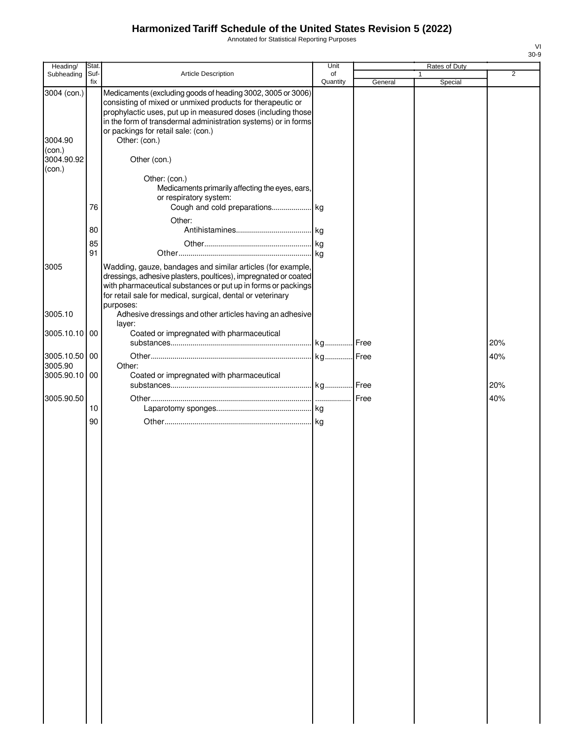Annotated for Statistical Reporting Purposes

| Heading/                                                 | Stat.                |                                                                                                                                                                                                                                                                                                                                     | Unit           |         | Rates of Duty |                |
|----------------------------------------------------------|----------------------|-------------------------------------------------------------------------------------------------------------------------------------------------------------------------------------------------------------------------------------------------------------------------------------------------------------------------------------|----------------|---------|---------------|----------------|
| Subheading                                               | Suf-<br>fix          | Article Description                                                                                                                                                                                                                                                                                                                 | of<br>Quantity | General | Special       | $\overline{2}$ |
| 3004 (con.)<br>3004.90<br>(con.)<br>3004.90.92<br>(con.) |                      | Medicaments (excluding goods of heading 3002, 3005 or 3006)<br>consisting of mixed or unmixed products for therapeutic or<br>prophylactic uses, put up in measured doses (including those<br>in the form of transdermal administration systems) or in forms<br>or packings for retail sale: (con.)<br>Other: (con.)<br>Other (con.) |                |         |               |                |
|                                                          | 76<br>80<br>85<br>91 | Other: (con.)<br>Medicaments primarily affecting the eyes, ears,<br>or respiratory system:<br>Cough and cold preparations kg<br>Other:                                                                                                                                                                                              |                |         |               |                |
| 3005                                                     |                      | Wadding, gauze, bandages and similar articles (for example,<br>dressings, adhesive plasters, poultices), impregnated or coated<br>with pharmaceutical substances or put up in forms or packings<br>for retail sale for medical, surgical, dental or veterinary<br>purposes:                                                         |                |         |               |                |
| 3005.10<br>3005.10.10 00                                 |                      | Adhesive dressings and other articles having an adhesive<br>layer:<br>Coated or impregnated with pharmaceutical                                                                                                                                                                                                                     |                |         |               |                |
|                                                          |                      |                                                                                                                                                                                                                                                                                                                                     |                |         |               | 20%            |
| 3005.10.50 00                                            |                      |                                                                                                                                                                                                                                                                                                                                     |                |         |               | 40%            |
| 3005.90<br>3005.90.10 00                                 |                      | Other:<br>Coated or impregnated with pharmaceutical                                                                                                                                                                                                                                                                                 |                |         |               | 20%            |
| 3005.90.50                                               |                      |                                                                                                                                                                                                                                                                                                                                     |                | Free    |               | 40%            |
|                                                          | 10                   |                                                                                                                                                                                                                                                                                                                                     |                |         |               |                |
|                                                          | 90                   |                                                                                                                                                                                                                                                                                                                                     |                |         |               |                |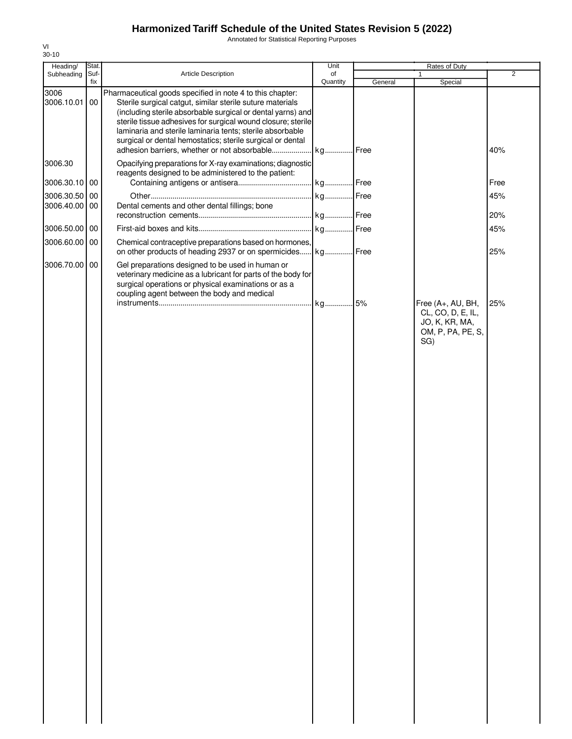Annotated for Statistical Reporting Purposes

| Heading/                    | Stat. |                                                                                                                                                                                                                                                                                                                                                                                  | Unit     |         | Rates of Duty                                                                        |                |
|-----------------------------|-------|----------------------------------------------------------------------------------------------------------------------------------------------------------------------------------------------------------------------------------------------------------------------------------------------------------------------------------------------------------------------------------|----------|---------|--------------------------------------------------------------------------------------|----------------|
| Subheading                  | Suf-  | Article Description                                                                                                                                                                                                                                                                                                                                                              | of       |         | 1                                                                                    | $\overline{2}$ |
|                             | fix   |                                                                                                                                                                                                                                                                                                                                                                                  | Quantity | General | Special                                                                              |                |
| 3006<br>3006.10.01          | 00    | Pharmaceutical goods specified in note 4 to this chapter:<br>Sterile surgical catgut, similar sterile suture materials<br>(including sterile absorbable surgical or dental yarns) and<br>sterile tissue adhesives for surgical wound closure; sterile<br>laminaria and sterile laminaria tents; sterile absorbable<br>surgical or dental hemostatics; sterile surgical or dental |          | .Free   |                                                                                      | 40%            |
| 3006.30                     |       | Opacifying preparations for X-ray examinations; diagnostic<br>reagents designed to be administered to the patient:                                                                                                                                                                                                                                                               |          |         |                                                                                      |                |
| 3006.30.10 00               |       |                                                                                                                                                                                                                                                                                                                                                                                  |          |         |                                                                                      | Free           |
| 3006.30.50<br>3006.40.00 00 | 00    | Dental cements and other dental fillings; bone                                                                                                                                                                                                                                                                                                                                   | kg       | Free    |                                                                                      | 45%            |
|                             |       |                                                                                                                                                                                                                                                                                                                                                                                  |          | Free    |                                                                                      | 20%            |
| 3006.50.00 00               |       |                                                                                                                                                                                                                                                                                                                                                                                  |          |         |                                                                                      | 45%            |
| 3006.60.00 00               |       | Chemical contraceptive preparations based on hormones,<br>on other products of heading 2937 or on spermicides                                                                                                                                                                                                                                                                    | kg Free  |         |                                                                                      | 25%            |
| 3006.70.00 00               |       | Gel preparations designed to be used in human or<br>veterinary medicine as a lubricant for parts of the body for<br>surgical operations or physical examinations or as a<br>coupling agent between the body and medical                                                                                                                                                          |          |         |                                                                                      |                |
|                             |       |                                                                                                                                                                                                                                                                                                                                                                                  | kg 5%    |         | Free (A+, AU, BH,<br>CL, CO, D, E, IL,<br>JO, K, KR, MA,<br>OM, P, PA, PE, S,<br>SG) | 25%            |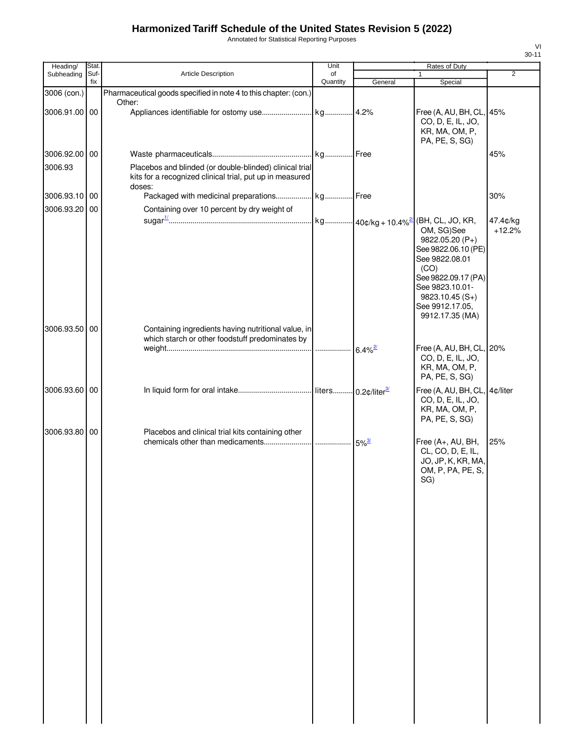Annotated for Statistical Reporting Purposes

| Stat. |                                                                                                                                           | Unit                                                      |                                                                                                                                                                                                                                                            | Rates of Duty                                                                                                                                               |                                                                                                                         |
|-------|-------------------------------------------------------------------------------------------------------------------------------------------|-----------------------------------------------------------|------------------------------------------------------------------------------------------------------------------------------------------------------------------------------------------------------------------------------------------------------------|-------------------------------------------------------------------------------------------------------------------------------------------------------------|-------------------------------------------------------------------------------------------------------------------------|
| Suf-  | <b>Article Description</b>                                                                                                                | of                                                        |                                                                                                                                                                                                                                                            | 1                                                                                                                                                           | $\overline{2}$                                                                                                          |
|       |                                                                                                                                           |                                                           |                                                                                                                                                                                                                                                            |                                                                                                                                                             |                                                                                                                         |
|       | Other:                                                                                                                                    |                                                           |                                                                                                                                                                                                                                                            |                                                                                                                                                             |                                                                                                                         |
|       |                                                                                                                                           |                                                           |                                                                                                                                                                                                                                                            | CO, D, E, IL, JO,<br>KR, MA, OM, P,<br>PA, PE, S, SG)                                                                                                       |                                                                                                                         |
|       |                                                                                                                                           |                                                           |                                                                                                                                                                                                                                                            |                                                                                                                                                             | 45%                                                                                                                     |
|       |                                                                                                                                           |                                                           |                                                                                                                                                                                                                                                            |                                                                                                                                                             |                                                                                                                         |
|       |                                                                                                                                           |                                                           |                                                                                                                                                                                                                                                            |                                                                                                                                                             | 30%                                                                                                                     |
|       | Containing over 10 percent by dry weight of                                                                                               |                                                           |                                                                                                                                                                                                                                                            |                                                                                                                                                             | 47.4¢/kg                                                                                                                |
|       |                                                                                                                                           |                                                           |                                                                                                                                                                                                                                                            | OM, SG)See<br>9822.05.20 (P+)<br>See 9822.06.10 (PE)<br>See 9822.08.01<br>(CO)<br>See 9823.10.01-<br>$9823.10.45(S+)$<br>See 9912.17.05,<br>9912.17.35 (MA) | $+12.2%$                                                                                                                |
|       |                                                                                                                                           |                                                           |                                                                                                                                                                                                                                                            |                                                                                                                                                             |                                                                                                                         |
|       |                                                                                                                                           |                                                           |                                                                                                                                                                                                                                                            | CO, D, E, IL, JO,<br>KR, MA, OM, P,<br>PA, PE, S, SG)                                                                                                       |                                                                                                                         |
|       |                                                                                                                                           |                                                           |                                                                                                                                                                                                                                                            | CO, D, E, IL, JO,<br>KR, MA, OM, P,<br>PA, PE, S, SG)                                                                                                       |                                                                                                                         |
|       | Placebos and clinical trial kits containing other                                                                                         |                                                           |                                                                                                                                                                                                                                                            | Free (A+, AU, BH,<br>CL, CO, D, E, IL,<br>JO, JP, K, KR, MA,<br>OM, P, PA, PE, S,<br>SG)                                                                    | 25%                                                                                                                     |
|       | fix<br>3006 (con.)<br>3006.91.00 00<br>3006.92.00 00<br>3006.93.10 00<br>3006.93.20 00<br>3006.93.50 00<br>3006.93.60 00<br>3006.93.80 00 | doses:<br>which starch or other foodstuff predominates by | Quantity<br>Pharmaceutical goods specified in note 4 to this chapter: (con.)<br>Placebos and blinded (or double-blinded) clinical trial<br>kits for a recognized clinical trial, put up in measured<br>Containing ingredients having nutritional value, in | General<br>$6.4\%$ <sup>2/</sup><br>$5\%$ <sup>3/</sup>                                                                                                     | Special<br>Free (A, AU, BH, CL, 45%<br>See 9822.09.17 (PA)<br>Free (A, AU, BH, CL, 20%<br>Free (A, AU, BH, CL, 4¢/liter |